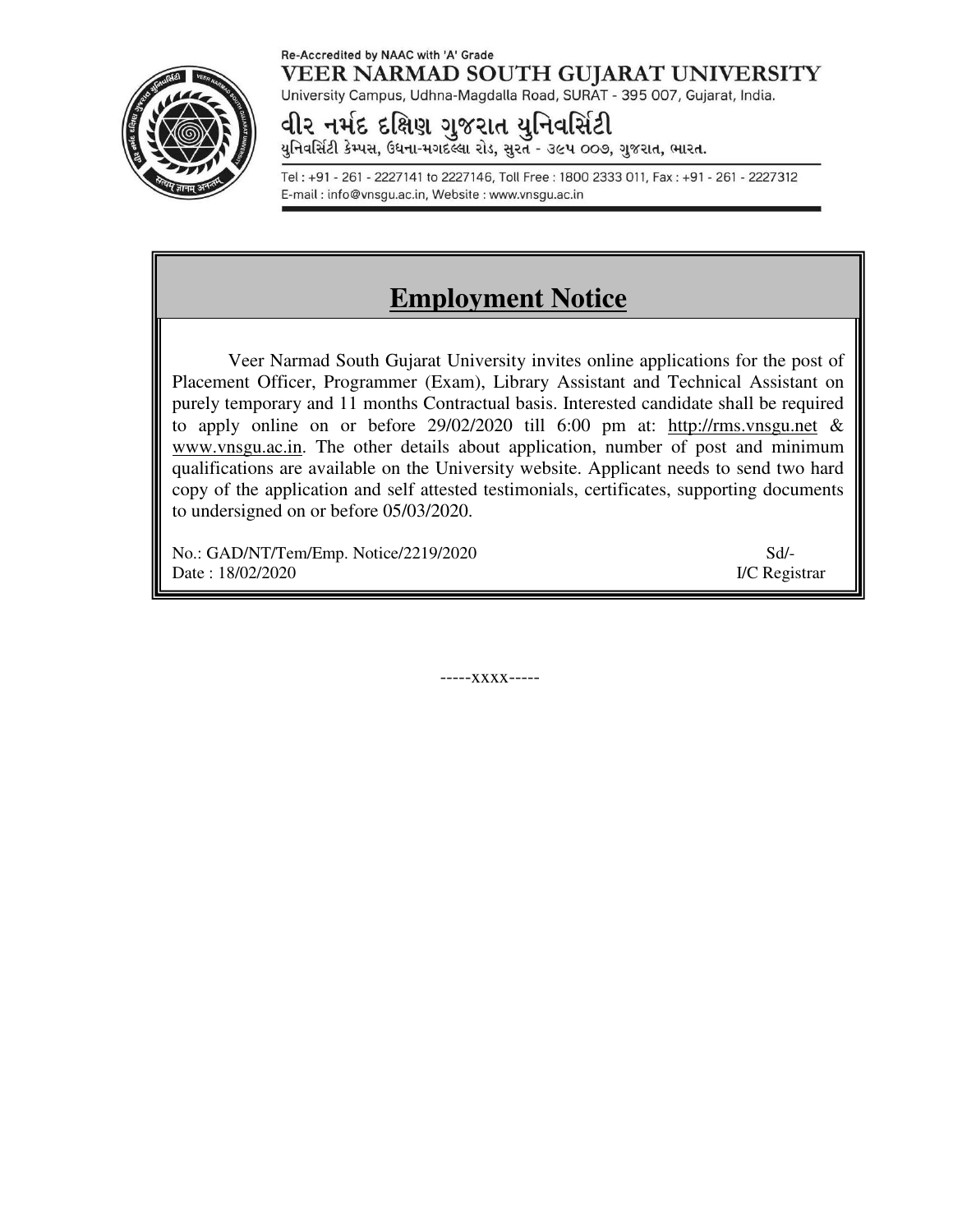#### Re-Accredited by NAAC with 'A' Grade VEER NARMAD SOUTH GUJARAT UNIVERSITY University Campus, Udhna-Magdalla Road, SURAT - 395 007, Gujarat, India.

વીર નર્મદ દક્ષિણ ગુજરાત યુનિવર્સિટી

યુનિવર્સિટી કેમ્પસ, ઉધના-મગદલ્લા રોડ, સુરત - ૩૯૫ ૦૦૭, ગુજરાત, ભારત.

Tel: +91 - 261 - 2227141 to 2227146, Toll Free: 1800 2333 011, Fax: +91 - 261 - 2227312 E-mail: info@vnsgu.ac.in, Website: www.vnsgu.ac.in

# **Employment Notice**

Veer Narmad South Gujarat University invites online applications for the post of Placement Officer, Programmer (Exam), Library Assistant and Technical Assistant on purely temporary and 11 months Contractual basis. Interested candidate shall be required to apply online on or before 29/02/2020 till 6:00 pm at: http://rms.vnsgu.net & www.vnsgu.ac.in. The other details about application, number of post and minimum qualifications are available on the University website. Applicant needs to send two hard copy of the application and self attested testimonials, certificates, supporting documents to undersigned on or before 05/03/2020.

No.: GAD/NT/Tem/Emp. Notice/2219/2020 Sd/- Date : 18/02/2020 **I/C Registrar** 

-----xxxx-----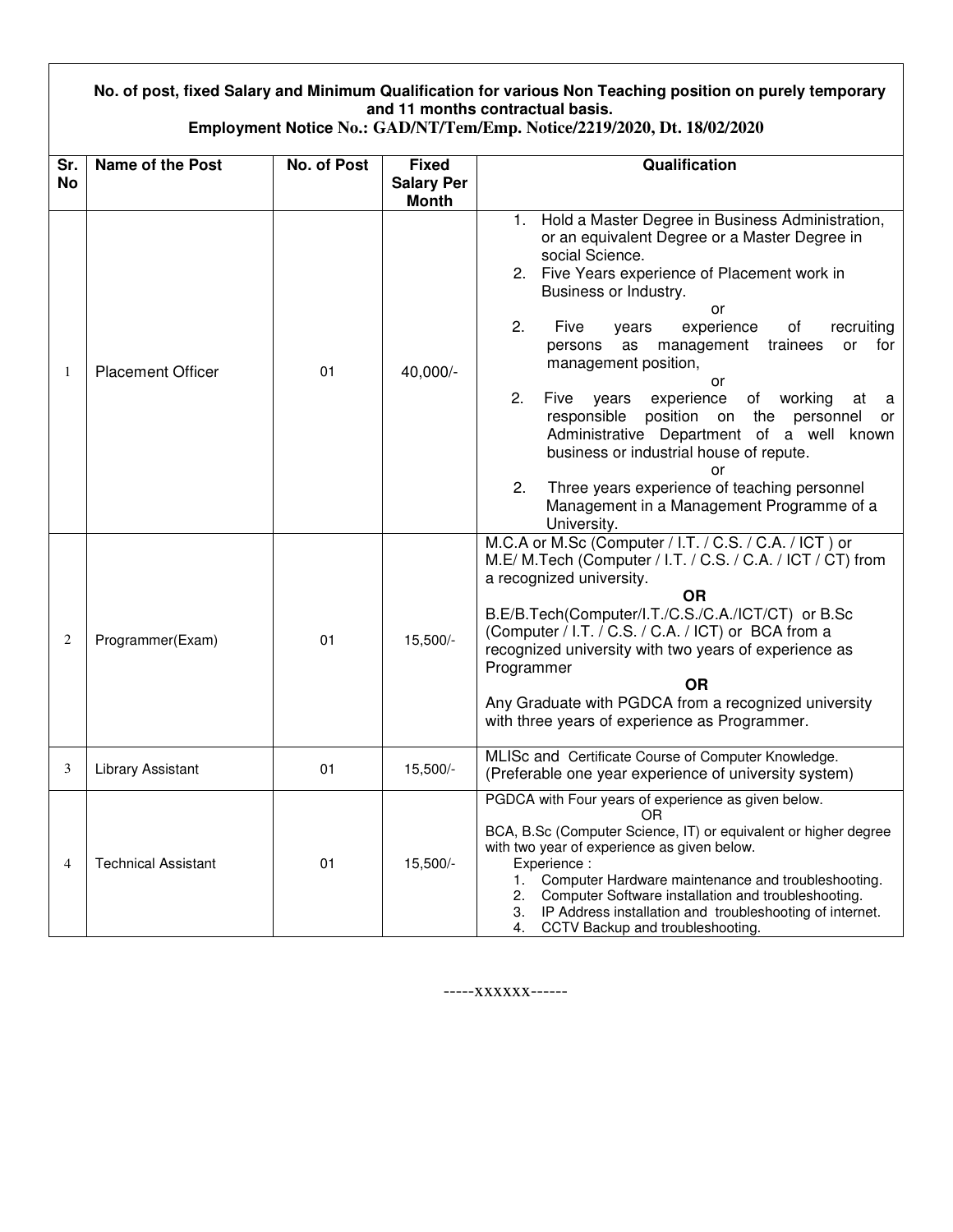### **No. of post, fixed Salary and Minimum Qualification for various Non Teaching position on purely temporary and 11 months contractual basis.**

| Employment Notice No.: GAD/NT/Tem/Emp. Notice/2219/2020, Dt. 18/02/2020 |  |  |  |
|-------------------------------------------------------------------------|--|--|--|
|-------------------------------------------------------------------------|--|--|--|

| Sr.            | <b>Name of the Post</b>    | <b>No. of Post</b> | <b>Fixed</b>      | Qualification                                                                                                                                                                                                                                                                                                                                                                                                                                                                                                                                                                                                                                                                                |  |
|----------------|----------------------------|--------------------|-------------------|----------------------------------------------------------------------------------------------------------------------------------------------------------------------------------------------------------------------------------------------------------------------------------------------------------------------------------------------------------------------------------------------------------------------------------------------------------------------------------------------------------------------------------------------------------------------------------------------------------------------------------------------------------------------------------------------|--|
| <b>No</b>      |                            |                    | <b>Salary Per</b> |                                                                                                                                                                                                                                                                                                                                                                                                                                                                                                                                                                                                                                                                                              |  |
|                |                            |                    | <b>Month</b>      |                                                                                                                                                                                                                                                                                                                                                                                                                                                                                                                                                                                                                                                                                              |  |
| 1              | <b>Placement Officer</b>   | 01                 | 40,000/-          | Hold a Master Degree in Business Administration,<br>1.<br>or an equivalent Degree or a Master Degree in<br>social Science.<br>2. Five Years experience of Placement work in<br>Business or Industry.<br>or<br>2.<br>Five<br>experience<br>of<br>recruiting<br>years<br>management<br>trainees<br>persons<br>as<br>or<br>for<br>management position,<br>or<br>2.<br>Five<br>experience<br>of working<br>years<br>at<br>a<br>responsible<br>position on the<br>personnel<br>or<br>Administrative Department of a well known<br>business or industrial house of repute.<br>or<br>Three years experience of teaching personnel<br>2.<br>Management in a Management Programme of a<br>University. |  |
| $\overline{2}$ | Programmer(Exam)           | 01                 | 15,500/-          | M.C.A or M.Sc (Computer / I.T. / C.S. / C.A. / ICT) or<br>M.E/ M.Tech (Computer / I.T. / C.S. / C.A. / ICT / CT) from<br>a recognized university.<br><b>OR</b><br>B.E/B.Tech(Computer/I.T./C.S./C.A./ICT/CT) or B.Sc<br>(Computer / I.T. / C.S. / C.A. / ICT) or BCA from a<br>recognized university with two years of experience as<br>Programmer<br><b>OR</b><br>Any Graduate with PGDCA from a recognized university<br>with three years of experience as Programmer.                                                                                                                                                                                                                     |  |
| 3              | <b>Library Assistant</b>   | 01                 | 15,500/-          | MLISc and Certificate Course of Computer Knowledge.<br>(Preferable one year experience of university system)                                                                                                                                                                                                                                                                                                                                                                                                                                                                                                                                                                                 |  |
| 4              | <b>Technical Assistant</b> | 01                 | 15,500/-          | PGDCA with Four years of experience as given below.<br>OR<br>BCA, B.Sc (Computer Science, IT) or equivalent or higher degree<br>with two year of experience as given below.<br>Experience :<br>Computer Hardware maintenance and troubleshooting.<br>1.<br>Computer Software installation and troubleshooting.<br>2.<br>IP Address installation and troubleshooting of internet.<br>3.<br>CCTV Backup and troubleshooting.<br>4.                                                                                                                                                                                                                                                             |  |

-----xxxxxx------